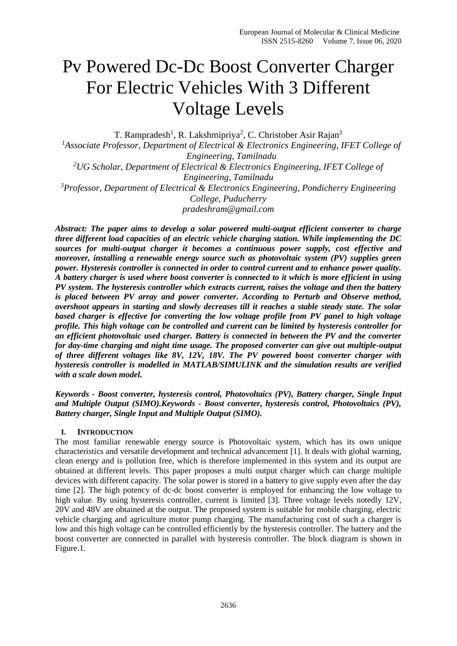# Pv Powered Dc-Dc Boost Converter Charger For Electric Vehicles With 3 Different Voltage Levels

T. Rampradesh<sup>1</sup>, R. Lakshmipriya<sup>2</sup>, C. Christober Asir Rajan<sup>3</sup> <sup>1</sup>Associate Professor, Department of Electrical & Electronics Engineering, IFET College of *Engineering, Tamilnadu <sup>2</sup>UG Scholar, Department of Electrical & Electronics Engineering, IFET College of Engineering, Tamilnadu <sup>3</sup>Professor, Department of Electrical & Electronics Engineering, Pondicherry Engineering College, Puducherry pradeshram@gmail.com*

*Abstract: The paper aims to develop a solar powered multi-output efficient converter to charge three different load capacities of an electric vehicle charging station. While implementing the DC sources for multi-output charger it becomes a continuous power supply, cost effective and moreover, installing a renewable energy source such as photovoltaic system (PV) supplies green power. Hysteresis controller is connected in order to control current and to enhance power quality. A battery charger is used where boost converter is connected to it which is more efficient in using PV system. The hysteresis controller which extracts current, raises the voltage and then the battery is placed between PV array and power converter. According to Perturb and Observe method, overshoot appears in starting and slowly decreases till it reaches a stable steady state. The solar based charger is effective for converting the low voltage profile from PV panel to high voltage profile. This high voltage can be controlled and current can be limited by hysteresis controller for an efficient photovoltaic used charger. Battery is connected in between the PV and the converter for day-time charging and night time usage. The proposed converter can give out multiple-output of three different voltages like 8V, 12V, 18V. The PV powered boost converter charger with hysteresis controller is modelled in MATLAB/SIMULINK and the simulation results are verified with a scale down model.*

*Keywords - Boost converter, hysteresis control, Photovoltaics (PV), Battery charger, Single Input and Multiple Output (SIMO).Keywords - Boost converter, hysteresis control, Photovoltaics (PV), Battery charger, Single Input and Multiple Output (SIMO).*

# **I. INTRODUCTION**

The most familiar renewable energy source is Photovoltaic system, which has its own unique characteristics and versatile development and technical advancement [1]. It deals with global warning, clean energy and is pollution free, which is therefore implemented in this system and its output are obtained at different levels. This paper proposes a multi output charger which can charge multiple devices with different capacity. The solar power is stored in a battery to give supply even after the day time [2]. The high potency of dc-dc boost converter is employed for enhancing the low voltage to high value. By using hysteresis controller, current is limited [3]. Three voltage levels notedly 12V, 20V and 48V are obtained at the output. The proposed system is suitable for mobile charging, electric vehicle charging and agriculture motor pump charging. The manufacturing cost of such a charger is low and this high voltage can be controlled efficiently by the hysteresis controller. The battery and the boost converter are connected in parallel with hysteresis controller. The block diagram is shown in Figure.1.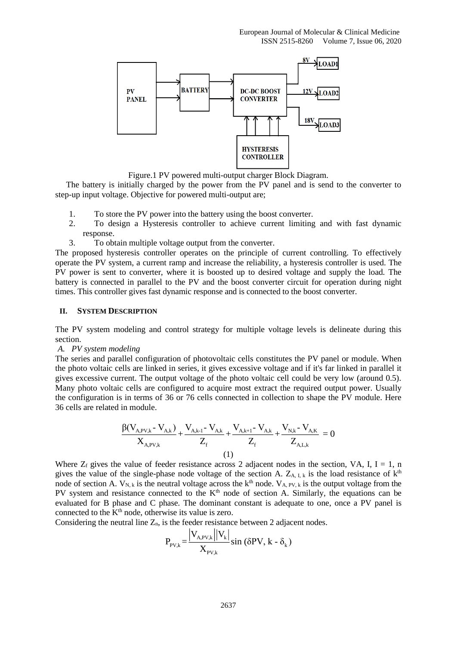

Figure.1 PV powered multi-output charger Block Diagram.

The battery is initially charged by the power from the PV panel and is send to the converter to step-up input voltage. Objective for powered multi-output are;

- 1. To store the PV power into the battery using the boost converter.
- 2. To design a Hysteresis controller to achieve current limiting and with fast dynamic response.
- 3. To obtain multiple voltage output from the converter.

The proposed hysteresis controller operates on the principle of current controlling. To effectively operate the PV system, a current ramp and increase the reliability, a hysteresis controller is used. The PV power is sent to converter, where it is boosted up to desired voltage and supply the load. The battery is connected in parallel to the PV and the boost converter circuit for operation during night times. This controller gives fast dynamic response and is connected to the boost converter.

#### **II. SYSTEM DESCRIPTION**

The PV system modeling and control strategy for multiple voltage levels is delineate during this section.

*A. PV system modeling*

The series and parallel configuration of photovoltaic cells constitutes the PV panel or module. When the photo voltaic cells are linked in series, it gives excessive voltage and if it's far linked in parallel it gives excessive current. The output voltage of the photo voltaic cell could be very low (around 0.5). Many photo voltaic cells are configured to acquire most extract the required output power. Usually the configuration is in terms of 36 or 76 cells connected in collection to shape the PV module. Here 36 cells are related in module.

$$
\frac{\beta (V_{A,PV,k} - V_{A,k})}{X_{A,PV,k}} + \frac{V_{A,k-1} - V_{A,k}}{Z_f} + \frac{V_{A,k+1} - V_{A,k}}{Z_f} + \frac{V_{N,k} - V_{A,K}}{Z_{A,L,k}} = 0
$$
\n(1)

Where  $Z_f$  gives the value of feeder resistance across 2 adjacent nodes in the section, VA, I, I = 1, n gives the value of the single-phase node voltage of the section A.  $Z_{A, I, k}$  is the load resistance of  $k<sup>th</sup>$ node of section A.  $V_{N,k}$  is the neutral voltage across the  $k^{th}$  node.  $V_{A, PV, k}$  is the output voltage from the PV system and resistance connected to the K<sup>th</sup> node of section A. Similarly, the equations can be evaluated for B phase and C phase. The dominant constant is adequate to one, once a PV panel is connected to the  $K<sup>th</sup>$  node, otherwise its value is zero.

Considering the neutral line  $Z_n$ , is the feeder resistance between 2 adjacent nodes.

$$
P_{PV,k} = \frac{|V_{A,PV,k}| |V_k|}{X_{PV,k}}
$$
 sin (δPV, k - δ<sub>k</sub>)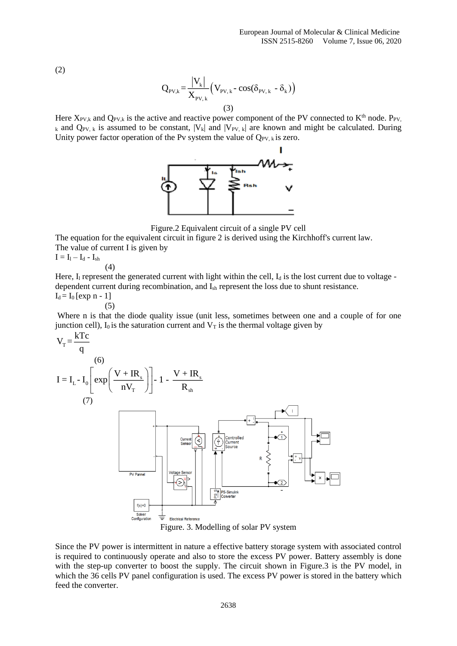(2)

$$
Q_{PV,k} = \frac{|V_k|}{X_{PV,k}} (V_{PV,k} - \cos(\delta_{PV,k} - \delta_k))
$$
\n(3)

Here  $X_{PV,k}$  and  $Q_{PV,k}$  is the active and reactive power component of the PV connected to  $K<sup>th</sup>$  node. P<sub>PV</sub>, k and  $Q_{PV, k}$  is assumed to be constant,  $|V_k|$  and  $|V_{PV, k}|$  are known and might be calculated. During Unity power factor operation of the Pv system the value of  $Q_{PV, k}$  is zero.



Figure.2 Equivalent circuit of a single PV cell

The equation for the equivalent circuit in figure 2 is derived using the Kirchhoff's current law. The value of current I is given by

 $I = I_1 - I_d - I_{sh}$ 

(4)

Here,  $I_1$  represent the generated current with light within the cell,  $I_d$  is the lost current due to voltage dependent current during recombination, and Ish represent the loss due to shunt resistance.  $I_d = I_0$  [exp n - 1]

(5)

Where n is that the diode quality issue (unit less, sometimes between one and a couple of for one junction cell),  $I_0$  is the saturation current and  $V_T$  is the thermal voltage given by





Since the PV power is intermittent in nature a effective battery storage system with associated control is required to continuously operate and also to store the excess PV power. Battery assembly is done with the step-up converter to boost the supply. The circuit shown in Figure.3 is the PV model, in which the 36 cells PV panel configuration is used. The excess PV power is stored in the battery which feed the converter.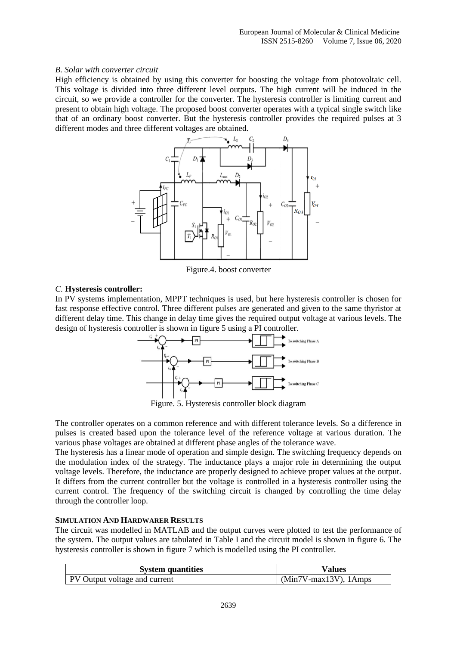#### *B. Solar with converter circuit*

High efficiency is obtained by using this converter for boosting the voltage from photovoltaic cell. This voltage is divided into three different level outputs. The high current will be induced in the circuit, so we provide a controller for the converter. The hysteresis controller is limiting current and present to obtain high voltage. The proposed boost converter operates with a typical single switch like that of an ordinary boost converter. But the hysteresis controller provides the required pulses at 3 different modes and three different voltages are obtained.



Figure.4. boost converter

# *C.* **Hysteresis controller:**

In PV systems implementation, MPPT techniques is used, but here hysteresis controller is chosen for fast response effective control. Three different pulses are generated and given to the same thyristor at different delay time. This change in delay time gives the required output voltage at various levels. The design of hysteresis controller is shown in figure 5 using a PI controller.



Figure. 5. Hysteresis controller block diagram

The controller operates on a common reference and with different tolerance levels. So a difference in pulses is created based upon the tolerance level of the reference voltage at various duration. The various phase voltages are obtained at different phase angles of the tolerance wave.

The hysteresis has a linear mode of operation and simple design. The switching frequency depends on the modulation index of the strategy. The inductance plays a major role in determining the output voltage levels. Therefore, the inductance are properly designed to achieve proper values at the output. It differs from the current controller but the voltage is controlled in a hysteresis controller using the current control. The frequency of the switching circuit is changed by controlling the time delay through the controller loop.

### **SIMULATION AND HARDWARER RESULTS**

The circuit was modelled in MATLAB and the output curves were plotted to test the performance of the system. The output values are tabulated in Table I and the circuit model is shown in figure 6. The hysteresis controller is shown in figure 7 which is modelled using the PI controller.

| <b>System quantities</b>             | Values                   |
|--------------------------------------|--------------------------|
| <b>PV</b> Output voltage and current | $(Min7V-max13V)$ , 1Amps |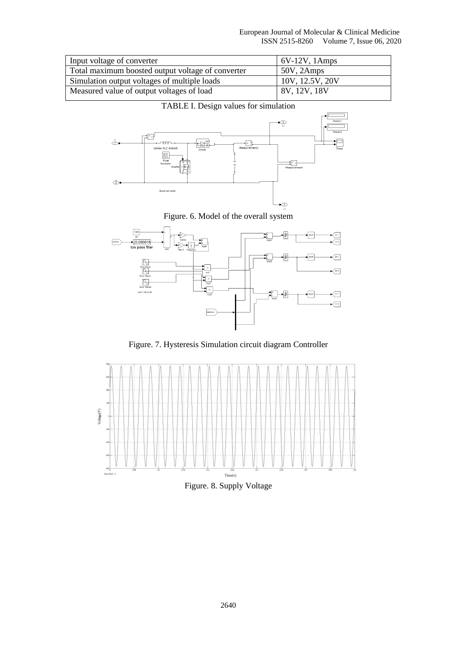| Input voltage of converter                        | $6V-12V$ , 1Amps |
|---------------------------------------------------|------------------|
| Total maximum boosted output voltage of converter | 50V, 2Amps       |
| Simulation output voltages of multiple loads      | 10V, 12.5V, 20V  |
| Measured value of output voltages of load         | 8V, 12V, 18V     |



# TABLE I. Design values for simulation

Figure. 6. Model of the overall system



Figure. 7. Hysteresis Simulation circuit diagram Controller



Figure. 8. Supply Voltage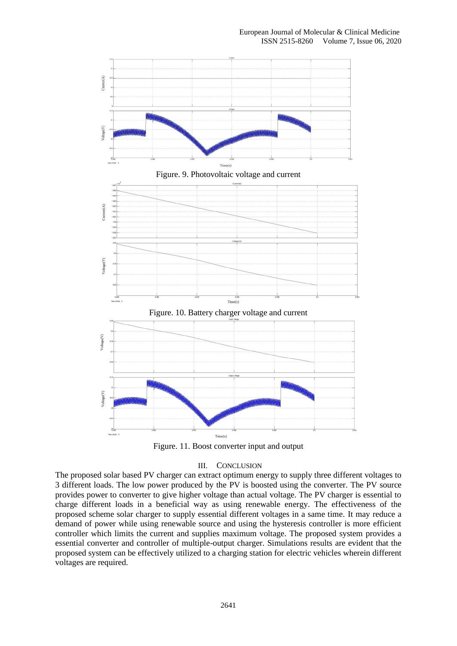

Figure. 11. Boost converter input and output

### III. CONCLUSION

The proposed solar based PV charger can extract optimum energy to supply three different voltages to 3 different loads. The low power produced by the PV is boosted using the converter. The PV source provides power to converter to give higher voltage than actual voltage. The PV charger is essential to charge different loads in a beneficial way as using renewable energy. The effectiveness of the proposed scheme solar charger to supply essential different voltages in a same time. It may reduce a demand of power while using renewable source and using the hysteresis controller is more efficient controller which limits the current and supplies maximum voltage. The proposed system provides a essential converter and controller of multiple-output charger. Simulations results are evident that the proposed system can be effectively utilized to a charging station for electric vehicles wherein different voltages are required.